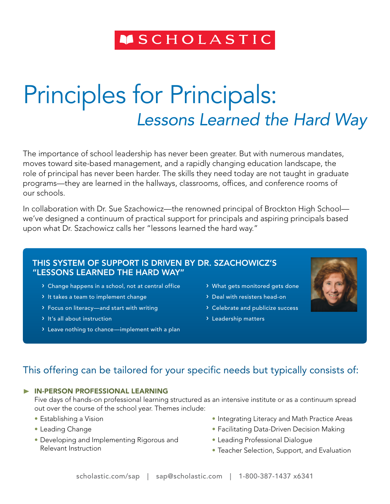# **MSCHOLASTIC**

# Principles for Principals: *Lessons Learned the Hard Way*

The importance of school leadership has never been greater. But with numerous mandates, moves toward site-based management, and a rapidly changing education landscape, the role of principal has never been harder. The skills they need today are not taught in graduate programs—they are learned in the hallways, classrooms, offices, and conference rooms of our schools.

In collaboration with Dr. Sue Szachowicz—the renowned principal of Brockton High School we've designed a continuum of practical support for principals and aspiring principals based upon what Dr. Szachowicz calls her "lessons learned the hard way."

#### This system of support is driven by Dr. Szachowicz's "Lessons Learned the Hard Way"

- › Change happens in a school, not at central office
- › It takes a team to implement change
- › Focus on literacy—and start with writing
- › It's all about instruction
- › Leave nothing to chance—implement with a plan
- › What gets monitored gets done
- › Deal with resisters head-on
- › Celebrate and publicize success
- › Leadership matters



## This offering can be tailored for your specific needs but typically consists of:

#### ® In-person professional learning

Five days of hands-on professional learning structured as an intensive institute or as a continuum spread out over the course of the school year. Themes include:

- Establishing a Vision
- • Leading Change
- Developing and Implementing Rigorous and Relevant Instruction
- Integrating Literacy and Math Practice Areas
- Facilitating Data-Driven Decision Making
- Leading Professional Dialogue
- Teacher Selection, Support, and Evaluation